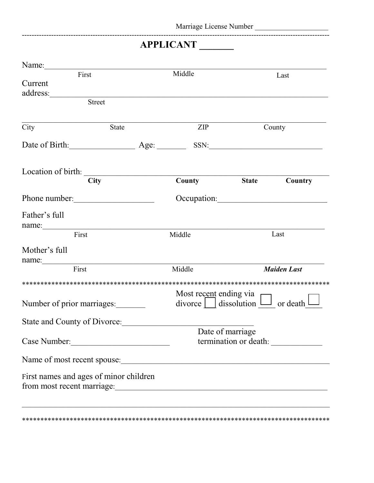## APPLICANT

| Name:                                                                |               |                                                                      |              |                    |
|----------------------------------------------------------------------|---------------|----------------------------------------------------------------------|--------------|--------------------|
| First                                                                |               | Middle                                                               | Last         |                    |
| Current                                                              |               |                                                                      |              |                    |
| address:                                                             |               |                                                                      |              |                    |
|                                                                      | <b>Street</b> |                                                                      |              |                    |
| City                                                                 | <b>State</b>  | $\overline{ZIP}$                                                     | County       |                    |
|                                                                      |               |                                                                      | SSN:         |                    |
| Location of birth:                                                   |               |                                                                      |              |                    |
|                                                                      | <b>City</b>   | County                                                               | <b>State</b> | Country            |
| Phone number:                                                        |               |                                                                      |              | Occupation:        |
| Father's full                                                        |               |                                                                      |              |                    |
| name:<br>First                                                       |               | Middle                                                               |              | Last               |
| Mother's full                                                        |               |                                                                      |              |                    |
| name:                                                                |               |                                                                      |              |                    |
| First                                                                |               | Middle                                                               |              | <b>Maiden Last</b> |
|                                                                      |               |                                                                      |              |                    |
| Number of prior marriages:                                           |               | Most recent ending via<br>$divorce \mid$ dissolution $\Box$ or death |              |                    |
| State and County of Divorce:                                         |               |                                                                      |              |                    |
| Case Number:                                                         |               | Date of marriage                                                     |              |                    |
| Name of most recent spouse:                                          |               |                                                                      |              |                    |
| First names and ages of minor children<br>from most recent marriage: |               |                                                                      |              |                    |
|                                                                      |               |                                                                      |              |                    |